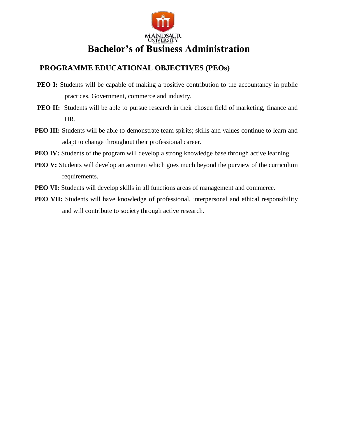

# **Bachelor's of Business Administration**

## **PROGRAMME EDUCATIONAL OBJECTIVES (PEOs)**

- **PEO I:** Students will be capable of making a positive contribution to the accountancy in public practices, Government, commerce and industry.
- **PEO II:** Students will be able to pursue research in their chosen field of marketing, finance and HR.
- **PEO III:** Students will be able to demonstrate team spirits; skills and values continue to learn and adapt to change throughout their professional career.
- **PEO IV:** Students of the program will develop a strong knowledge base through active learning.
- **PEO V:** Students will develop an acumen which goes much beyond the purview of the curriculum requirements.
- **PEO VI:** Students will develop skills in all functions areas of management and commerce.
- **PEO VII:** Students will have knowledge of professional, interpersonal and ethical responsibility and will contribute to society through active research.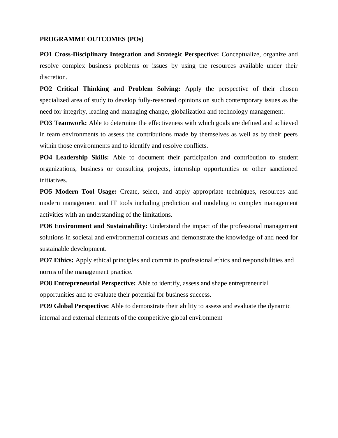#### **PROGRAMME OUTCOMES (POs)**

**PO1 Cross-Disciplinary Integration and Strategic Perspective:** Conceptualize, organize and resolve complex business problems or issues by using the resources available under their discretion.

**PO2 Critical Thinking and Problem Solving:** Apply the perspective of their chosen specialized area of study to develop fully-reasoned opinions on such contemporary issues as the need for integrity, leading and managing change, globalization and technology management.

**PO3 Teamwork:** Able to determine the effectiveness with which goals are defined and achieved in team environments to assess the contributions made by themselves as well as by their peers within those environments and to identify and resolve conflicts.

**PO4 Leadership Skills:** Able to document their participation and contribution to student organizations, business or consulting projects, internship opportunities or other sanctioned initiatives.

**PO5 Modern Tool Usage:** Create, select, and apply appropriate techniques, resources and modern management and IT tools including prediction and modeling to complex management activities with an understanding of the limitations.

**PO6 Environment and Sustainability:** Understand the impact of the professional management solutions in societal and environmental contexts and demonstrate the knowledge of and need for sustainable development.

**PO7 Ethics:** Apply ethical principles and commit to professional ethics and responsibilities and norms of the management practice.

**PO8 Entrepreneurial Perspective:** Able to identify, assess and shape entrepreneurial opportunities and to evaluate their potential for business success.

**PO9 Global Perspective:** Able to demonstrate their ability to assess and evaluate the dynamic internal and external elements of the competitive global environment